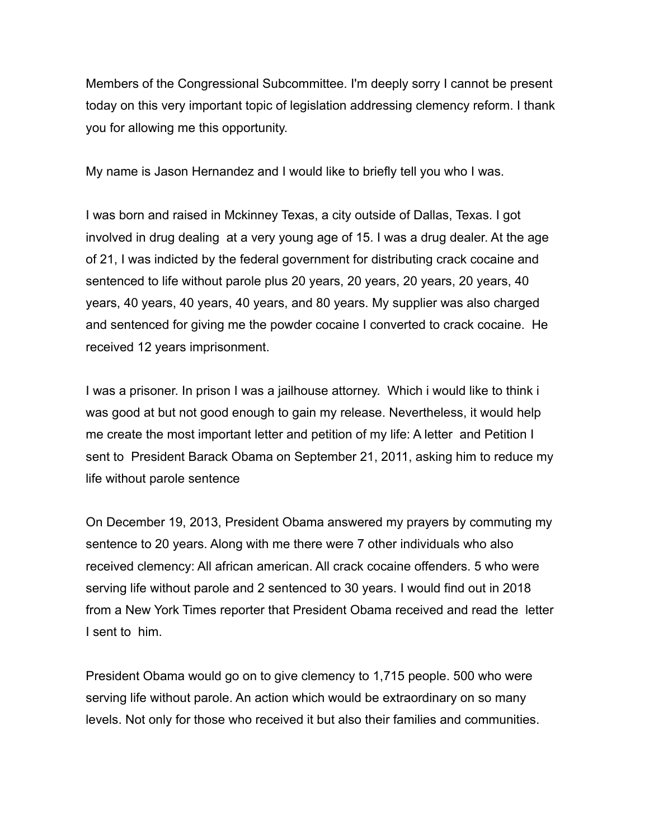Members of the Congressional Subcommittee. I'm deeply sorry I cannot be present today on this very important topic of legislation addressing clemency reform. I thank you for allowing me this opportunity.

My name is Jason Hernandez and I would like to briefly tell you who I was.

I was born and raised in Mckinney Texas, a city outside of Dallas, Texas. I got involved in drug dealing at a very young age of 15. I was a drug dealer. At the age of 21, I was indicted by the federal government for distributing crack cocaine and sentenced to life without parole plus 20 years, 20 years, 20 years, 20 years, 40 years, 40 years, 40 years, 40 years, and 80 years. My supplier was also charged and sentenced for giving me the powder cocaine I converted to crack cocaine. He received 12 years imprisonment.

I was a prisoner. In prison I was a jailhouse attorney. Which i would like to think i was good at but not good enough to gain my release. Nevertheless, it would help me create the most important letter and petition of my life: A letter and Petition I sent to President Barack Obama on September 21, 2011, asking him to reduce my life without parole sentence

On December 19, 2013, President Obama answered my prayers by commuting my sentence to 20 years. Along with me there were 7 other individuals who also received clemency: All african american. All crack cocaine offenders. 5 who were serving life without parole and 2 sentenced to 30 years. I would find out in 2018 from a New York Times reporter that President Obama received and read the letter I sent to him.

President Obama would go on to give clemency to 1,715 people. 500 who were serving life without parole. An action which would be extraordinary on so many levels. Not only for those who received it but also their families and communities.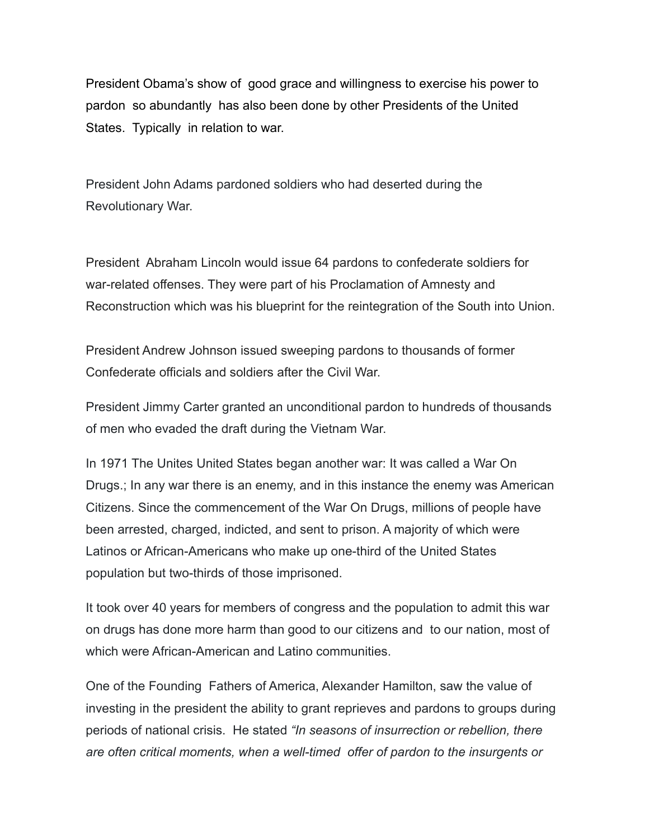President Obama's show of good grace and willingness to exercise his power to pardon so abundantly has also been done by other Presidents of the United States. Typically in relation to war.

President John Adams pardoned soldiers who had deserted during the Revolutionary War.

President Abraham Lincoln would issue 64 pardons to confederate soldiers for war-related offenses. They were part of his Proclamation of Amnesty and Reconstruction which was his blueprint for the reintegration of the South into Union.

President Andrew Johnson issued sweeping pardons to thousands of former Confederate officials and soldiers after the Civil War.

President Jimmy Carter granted an unconditional pardon to hundreds of thousands of men who evaded the draft during the Vietnam War.

In 1971 The Unites United States began another war: It was called a War On Drugs.; In any war there is an enemy, and in this instance the enemy was American Citizens. Since the commencement of the War On Drugs, millions of people have been arrested, charged, indicted, and sent to prison. A majority of which were Latinos or African-Americans who make up one-third of the United States population but two-thirds of those imprisoned.

It took over 40 years for members of congress and the population to admit this war on drugs has done more harm than good to our citizens and to our nation, most of which were African-American and Latino communities.

One of the Founding Fathers of America, Alexander Hamilton, saw the value of investing in the president the ability to grant reprieves and pardons to groups during periods of national crisis. He stated *"In seasons of insurrection or rebellion, there are often critical moments, when a well-timed offer of pardon to the insurgents or*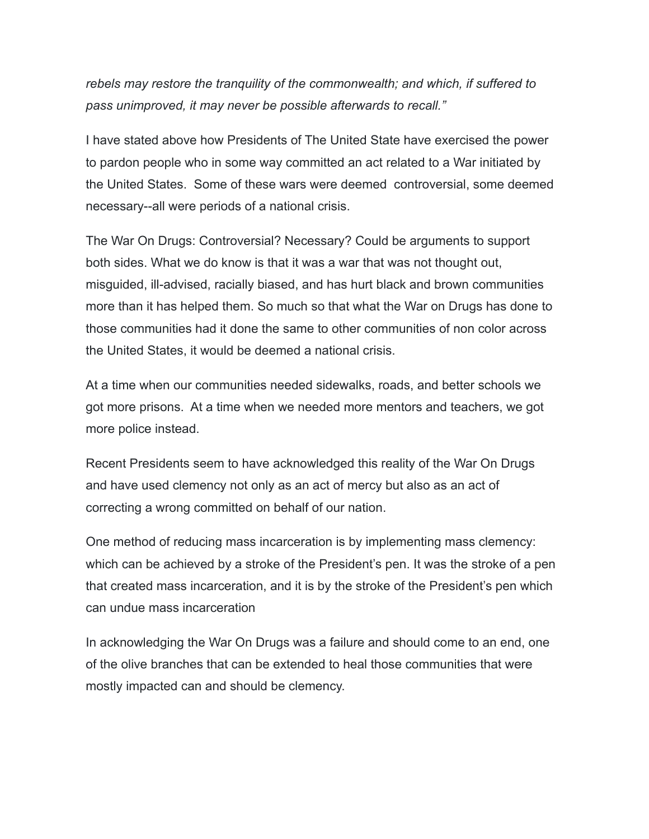*rebels may restore the tranquility of the commonwealth; and which, if suffered to pass unimproved, it may never be possible afterwards to recall."*

I have stated above how Presidents of The United State have exercised the power to pardon people who in some way committed an act related to a War initiated by the United States. Some of these wars were deemed controversial, some deemed necessary--all were periods of a national crisis.

The War On Drugs: Controversial? Necessary? Could be arguments to support both sides. What we do know is that it was a war that was not thought out, misguided, ill-advised, racially biased, and has hurt black and brown communities more than it has helped them. So much so that what the War on Drugs has done to those communities had it done the same to other communities of non color across the United States, it would be deemed a national crisis.

At a time when our communities needed sidewalks, roads, and better schools we got more prisons. At a time when we needed more mentors and teachers, we got more police instead.

Recent Presidents seem to have acknowledged this reality of the War On Drugs and have used clemency not only as an act of mercy but also as an act of correcting a wrong committed on behalf of our nation.

One method of reducing mass incarceration is by implementing mass clemency: which can be achieved by a stroke of the President's pen. It was the stroke of a pen that created mass incarceration, and it is by the stroke of the President's pen which can undue mass incarceration

In acknowledging the War On Drugs was a failure and should come to an end, one of the olive branches that can be extended to heal those communities that were mostly impacted can and should be clemency.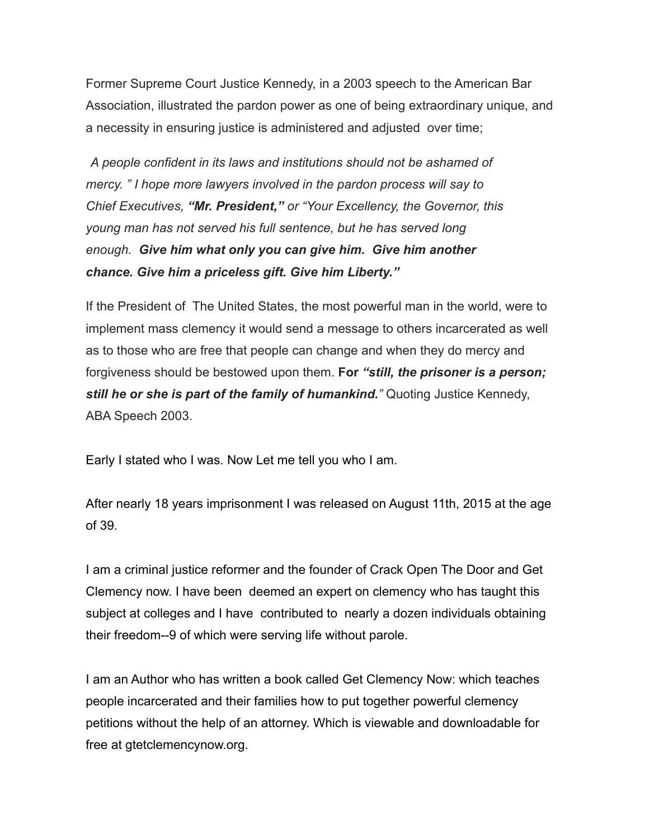Former Supreme Court Justice Kennedy, in a 2003 speech to the American Bar Association, illustrated the pardon power as one of being extraordinary unique, and a necessity in ensuring justice is administered and adjusted over time;

*A people confident in its laws and institutions should not be ashamed of mercy. " I hope more lawyers involved in the pardon process will say to Chief Executives, "Mr. President," or "Your Excellency, the Governor, this young man has not served his full sentence, but he has served long enough. Give him what only you can give him. Give him another chance. Give him a priceless gift. Give him Liberty."*

If the President of The United States, the most powerful man in the world, were to implement mass clemency it would send a message to others incarcerated as well as to those who are free that people can change and when they do mercy and forgiveness should be bestowed upon them. **For** *"still, the prisoner is a person; still he or she is part of the family of humankind."* Quoting Justice Kennedy, ABA Speech 2003.

Early I stated who I was. Now Let me tell you who I am.

After nearly 18 years imprisonment I was released on August 11th, 2015 at the age of 39.

I am a criminal justice reformer and the founder of Crack Open The Door and Get Clemency now. I have been deemed an expert on clemency who has taught this subject at colleges and I have contributed to nearly a dozen individuals obtaining their freedom--9 of which were serving life without parole.

I am an Author who has written a book called Get Clemency Now: which teaches people incarcerated and their families how to put together powerful clemency petitions without the help of an attorney. Which is viewable and downloadable for free at gtetclemencynow.org.